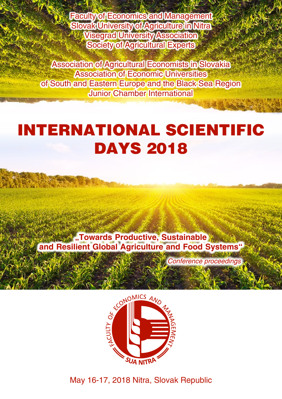Faculty of Economics and Management Slovak University of Agriculture in Nitra Visegrad University Association Society of Agricultural Experts

Association of Agricultural Economists in Slovakia Association of Economic Universities of South and Eastern Europe and the Black Sea Region Junior Chamber International

# InternatIonal ScIentIfIc **DAYS 2018**

**"Towards Productive, Sustainable and Resilient Global Agriculture and Food Systems"**

*Conference proceedings*



May 16-17, 2018 Nitra, Slovak Republic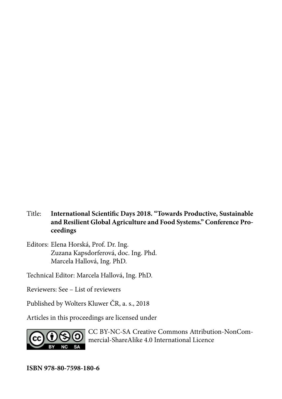- Title: **International Scientific Days 2018. "Towards Productive, Sustainable and Resilient Global Agriculture and Food Systems." Conference Proceedings**
- Editors: Elena Horská, Prof. Dr. Ing. Zuzana Kapsdorferová, doc. Ing. Phd. Marcela Hallová, Ing. PhD.

Technical Editor: Marcela Hallová, Ing. PhD.

Reviewers: See – List of reviewers

Published by Wolters Kluwer ČR, a. s., 2018

Articles in this proceedings are licensed under



CC BY-NC-SA Creative Commons Attribution-NonCommercial-ShareAlike 4.0 International Licence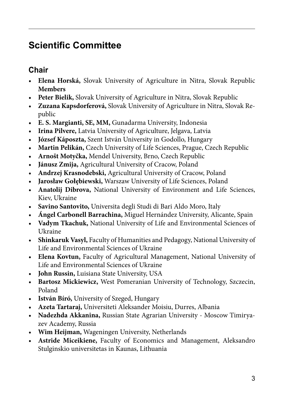### **Scientific Committee**

### **Chair**

- **Elena Horská,** Slovak University of Agriculture in Nitra, Slovak Republic **Members**
- **Peter Bielik,** Slovak University of Agriculture in Nitra, Slovak Republic
- **Zuzana Kapsdorferová,** Slovak University of Agriculture in Nitra, Slovak Republic
- **E. S. Margianti, SE, MM,** Gunadarma University, Indonesia
- **Irina Pilvere,** Latvia University of Agriculture, Jelgava, Latvia
- **József Káposzta,** Szent István University in Godollo, Hungary
- **Martin Pelikán,** Czech University of Life Sciences, Prague, Czech Republic
- **Arnošt Motyčka,** Mendel University, Brno, Czech Republic
- **Jánusz Zmija,** Agricultural University of Cracow, Poland
- **Andrzej Krasnodebski,** Agricultural University of Cracow, Poland
- **Jarosław Gołębiewski,** Warszaw University of Life Sciences, Poland
- **Anatolij Dibrova,** National University of Environment and Life Sciences, Kiev, Ukraine
- **Savino Santovito,** Universita degli Studi di Bari Aldo Moro, Italy
- **Ángel Carbonell Barrachina,** Miguel Hernández University, Alicante, Spain
- **Vadym Tkachuk,** National University of Life and Environmental Sciences of Ukraine
- **Shinkaruk Vasyl,** Faculty of Humanities and Pedagogy, National University of Life and Environmental Sciences of Ukraine
- **Elena Kovtun,** Faculty of Agricultural Management, National University of Life and Environmental Sciences of Ukraine
- **John Russin,** Luisiana State University, USA
- **Bartosz Mickiewicz,** West Pomeranian University of Technology, Szczecin, Poland
- **István Bíró,** University of Szeged, Hungary
- **Azeta Tartaraj,** Universiteti Aleksander Moisiu, Durres, Albania
- **Nadezhda Akkanina,** Russian State Agrarian University Moscow Timiryazev Academy, Russia
- **Wim Heijman,** Wageningen University, Netherlands
- **Astride Miceikiene,** Faculty of Economics and Management, Aleksandro Stulginskio universitetas in Kaunas, Lithuania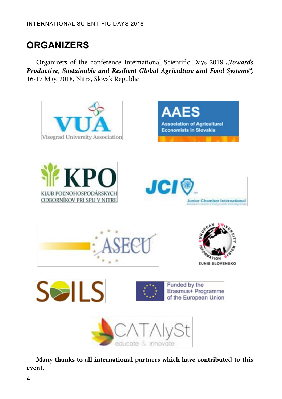### **ORGANIZERS**

Organizers of the conference International Scientific Days 2018 "Towards *Productive, Sustainable and Resilient Global Agriculture and Food Systems",*  16-17 May, 2018, Nitra, Slovak Republic



**Many thanks to all international partners which have contributed to this event.**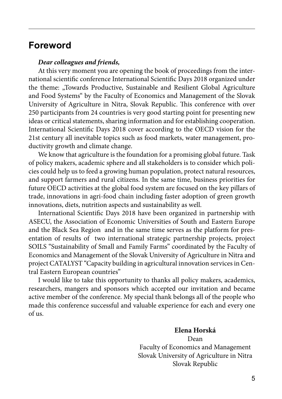### **Foreword**

#### *Dear colleagues and friends,*

At this very moment you are opening the book of proceedings from the international scientific conference International Scientific Days 2018 organized under the theme: "Towards Productive, Sustainable and Resilient Global Agriculture and Food Systems" by the Faculty of Economics and Management of the Slovak University of Agriculture in Nitra, Slovak Republic. This conference with over 250 participants from 24 countries is very good starting point for presenting new ideas or critical statements, sharing information and for establishing cooperation. International Scientific Days 2018 cover according to the OECD vision for the 21st century all inevitable topics such as food markets, water management, productivity growth and climate change.

We know that agriculture is the foundation for a promising global future. Task of policy makers, academic sphere and all stakeholders is to consider which policies could help us to feed a growing human population, protect natural resources, and support farmers and rural citizens. In the same time, business priorities for future OECD activities at the global food system are focused on the key pillars of trade, innovations in agri-food chain including faster adoption of green growth innovations, diets, nutrition aspects and sustainability as well.

International Scientific Days 2018 have been organized in partnership with ASECU, the Association of Economic Universities of South and Eastern Europe and the Black Sea Region and in the same time serves as the platform for presentation of results of two international strategic partnership projects, project SOILS "Sustainability of Small and Family Farms" coordinated by the Faculty of Economics and Management of the Slovak University of Agriculture in Nitra and project CATALYST "Capacity building in agricultural innovation services in Central Eastern European countries"

I would like to take this opportunity to thanks all policy makers, academics, researchers, mangers and sponsors which accepted our invitation and became active member of the conference. My special thank belongs all of the people who made this conference successful and valuable experience for each and every one of us.

#### **Elena Horská**

Dean Faculty of Economics and Management Slovak University of Agriculture in Nitra Slovak Republic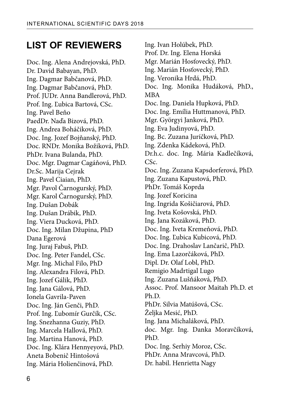### **LIST OF REVIEWERS**

Doc. Ing. Alena Andrejovská, PhD. Dr. David Babayan, PhD. Ing. Dagmar Babčanová, PhD. Ing. Dagmar Babčanová, PhD. Prof. JUDr. Anna Bandlerová, PhD. Prof. Ing. Ľubica Bartová, CSc. Ing. Pavel Beňo PaedDr. Naďa Bizová, PhD. Ing. Andrea Boháčiková, PhD. Doc. Ing. Jozef Bojňanský, PhD. Doc. RNDr. Monika Božiková, PhD. PhDr. Ivana Bulanda, PhD. Doc. Mgr. Dagmar Cagáňová, PhD. Dr.Sc. Marija Cejrak Ing. Pavel Ciaian, PhD. Mgr. Pavol Čarnogurský, PhD. Mgr. Karol Čarnogurský, PhD. Ing. Dušan Dobák Ing. Dušan Drábik, PhD. Ing. Viera Ducková, PhD. Doc. Ing. Milan Džupina, PhD Dana Egerová Ing. Juraj Fabuš, PhD. Doc. Ing. Peter Fandel, CSc. Mgr. Ing. Michal Filo, PhD Ing. Alexandra Filová, PhD. Ing. Jozef Gálik, PhD. Ing. Jana Gálová, PhD. Ionela Gavrila-Paven Doc. Ing. Ján Genči, PhD. Prof. Ing. Ľubomír Gurčík, CSc. Ing. Snezhanna Guziy, PhD. Ing. Marcela Hallová, PhD. Ing. Martina Hanová, PhD. Doc. Ing. Klára Hennyeyová, PhD. Aneta Bobenič Hintošová Ing. Mária Holienčinová, PhD.

Ing. Ivan Holúbek, PhD. Prof. Dr. Ing. Elena Horská Mgr. Marián Hosťovecký, PhD. Ing. Marián Hosťovecký, PhD. Ing. Veronika Hrdá, PhD. Doc. Ing. Monika Hudáková, PhD., MBA Doc. Ing. Daniela Hupková, PhD. Doc. Ing. Emília Huttmanová, PhD. Mgr. Györgyi Janková, PhD. Ing. Eva Judinyová, PhD. Ing. Bc. Zuzana Juríčková, PhD. Ing. Zdenka Kádeková, PhD. Dr.h.c. doc. Ing. Mária Kadlečíková, CSc. Doc. Ing. Zuzana Kapsdorferová, PhD. Ing. Zuzana Kapustová, PhD. PhDr. Tomáš Koprda Ing. Jozef Koricina Ing. Ingrida Košičiarová, PhD. Ing. Iveta Košovská, PhD. Ing. Jana Kozáková, PhD. Doc. Ing. Iveta Kremeňová, PhD. Doc. Ing. Ľubica Kubicová, PhD. Doc. Ing. Drahoslav Lančarič, PhD. Ing. Ema Lazorčáková, PhD. Dipl. Dr. Olaf Lobl, PhD. Remigio Madrtigal Lugo Ing. Zuzana Lušňáková, PhD. Assoc. Prof. Mansoor Maitah Ph.D. et Ph.D. PhDr. Silvia Matúšová, CSc. Željka Mesić, PhD. Ing. Jana Michaláková, PhD. doc. Mgr. Ing. Danka Moravčíková, PhD. Doc. Ing. Serhiy Moroz, CSc. PhDr. Anna Mravcová, PhD. Dr. habil. Henrietta Nagy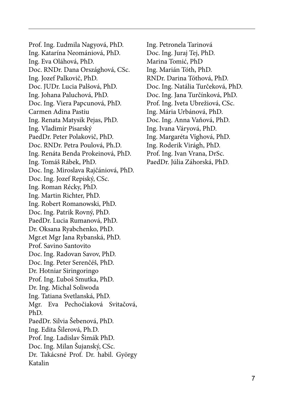Prof. Ing. Ľudmila Nagyová, PhD. Ing. Katarína Neomániová, PhD. Ing. Eva Oláhová, PhD. Doc. RNDr. Dana Országhová, CSc. Ing. Jozef Palkovič, PhD. Doc. JUDr. Lucia Palšová, PhD. Ing. Johana Paluchová, PhD. Doc. Ing. Viera Papcunová, PhD. Carmen Adina Pastiu Ing. Renata Matysik Pejas, PhD. Ing. Vladimír Pisarský PaedDr. Peter Polakovič, PhD. Doc. RNDr. Petra Poulová, Ph.D. Ing. Renáta Benda Prokeinová, PhD. Ing. Tomáš Rábek, PhD. Doc. Ing. Miroslava Rajčániová, PhD. Doc. Ing. Jozef Repiský, CSc. Ing. Roman Récky, PhD. Ing. Martin Richter, PhD. Ing. Robert Romanowski, PhD. Doc. Ing. Patrik Rovný, PhD. PaedDr. Lucia Rumanová, PhD. Dr. Oksana Ryabchenko, PhD. Mgr.et Mgr Jana Rybanská, PhD. Prof. Savino Santovito Doc. Ing. Radovan Savov, PhD. Doc. Ing. Peter Serenčéš, PhD. Dr. Hotniar Siringoringo Prof. Ing. Ľuboš Smutka, PhD. Dr. Ing. Michal Soliwoda Ing. Tatiana Svetlanská, PhD. Mgr. Eva Pechočiaková Svitačová, PhD. PaedDr. Silvia Šebenová, PhD. Ing. Edita Šilerová, Ph.D. Prof. Ing. Ladislav Šimák PhD. Doc. Ing. Milan Šujanský, CSc. Dr. Takácsné Prof. Dr. habil. György Katalin

Ing. Petronela Tarinová Doc. Ing. Juraj Tej, PhD. Marina Tomić, PhD Ing. Marián Tóth, PhD. RNDr. Darina Tóthová, PhD. Doc. Ing. Natália Turčeková, PhD. Doc. Ing. Jana Turčínková, PhD. Prof. Ing. Iveta Ubrežiová, CSc. Ing. Mária Urbánová, PhD. Doc. Ing. Anna Vaňová, PhD. Ing. Ivana Váryová, PhD. Ing. Margaréta Víghová, PhD. Ing. Roderik Virágh, PhD. Prof. Ing. Ivan Vrana, DrSc. PaedDr. Júlia Záhorská, PhD.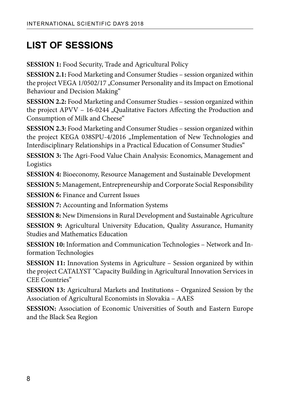# **LIST OF SESSIONS**

**SESSION 1:** Food Security, Trade and Agricultural Policy

**SESSION 2.1:** Food Marketing and Consumer Studies – session organized within the project VEGA 1/0502/17 "Consumer Personality and its Impact on Emotional Behaviour and Decision Making"

**SESSION 2.2:** Food Marketing and Consumer Studies – session organized within the project APVV - 16-0244 "Qualitative Factors Affecting the Production and Consumption of Milk and Cheese"

**SESSION 2.3:** Food Marketing and Consumer Studies – session organized within the project KEGA 038SPU-4/2016 "Implementation of New Technologies and Interdisciplinary Relationships in a Practical Education of Consumer Studies"

**SESSION 3:** The Agri-Food Value Chain Analysis: Economics, Management and Logistics

**SESSION 4:** Bioeconomy, Resource Management and Sustainable Development

**SESSION 5:** Management, Entrepreneurship and Corporate Social Responsibility

**SESSION 6:** Finance and Current Issues

**SESSION 7:** Accounting and Information Systems

**SESSION 8:** New Dimensions in Rural Development and Sustainable Agriculture

**SESSION 9:** Agricultural University Education, Quality Assurance, Humanity Studies and Mathematics Education

**SESSION 10:** Information and Communication Technologies – Network and Information Technologies

**SESSION 11:** Innovation Systems in Agriculture – Session organized by within the project CATALYST "Capacity Building in Agricultural Innovation Services in CEE Countries"

**SESSION 13:** Agricultural Markets and Institutions – Organized Session by the Association of Agricultural Economists in Slovakia – AAES

**SESSION:** Association of Economic Universities of South and Eastern Europe and the Black Sea Region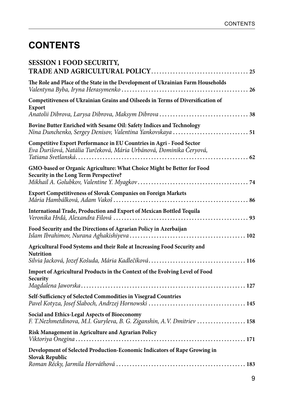## **CONTENTS**

| <b>SESSION 1 FOOD SECURITY,</b>                                                                                                            |
|--------------------------------------------------------------------------------------------------------------------------------------------|
| The Role and Place of the State in the Development of Ukrainian Farm Households                                                            |
| Competitiveness of Ukrainian Grains and Oilseeds in Terms of Diversification of<br><b>Export</b>                                           |
| Bovine Butter Enriched with Sesame Oil: Safety Indices and Technology<br>Nina Dunchenko, Sergey Denisov, Valentina Yankovskaya  51         |
| Competitive Export Performance in EU Countries in Agri - Food Sector<br>Eva Ďurišová, Natália Turčeková, Mária Urbánová, Dominika Čeryová, |
| GMO-based or Organic Agriculture: What Choice Might be Better for Food<br>Security in the Long Term Perspective?                           |
| Export Competitiveness of Slovak Companies on Foreign Markets                                                                              |
| International Trade, Production and Export of Mexican Bottled Tequila                                                                      |
| Food Security and the Directions of Agrarian Policy in Azerbaijan                                                                          |
| Agricultural Food Systems and their Role at Increasing Food Security and<br><b>Nutrition</b>                                               |
| Import of Agricultural Products in the Context of the Evolving Level of Food<br>Security                                                   |
| Self-Sufficiency of Selected Commodities in Visegrad Countries                                                                             |
| Social and Ethics-Legal Aspects of Bioeconomy<br>F. T.Nezhmetdinova, M.I. Guryleva, B. G. Ziganshin, A.V. Dmitriev  158                    |
| Risk Management in Agriculture and Agrarian Policy                                                                                         |
| Development of Selected Production-Economic Indicators of Rape Growing in<br>Slovak Republic                                               |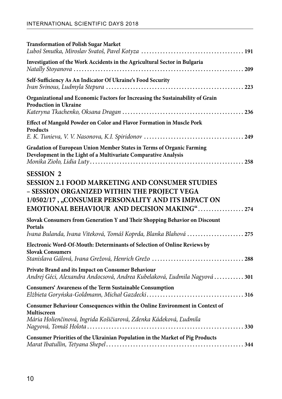| <b>Transformation of Polish Sugar Market</b>                                                                                                                                                                                    |
|---------------------------------------------------------------------------------------------------------------------------------------------------------------------------------------------------------------------------------|
| Investigation of the Work Accidents in the Agricultural Sector in Bulgaria                                                                                                                                                      |
| Self-Sufficiency As An Indicator Of Ukraine's Food Security                                                                                                                                                                     |
| Organizational and Economic Factors for Increasing the Sustainability of Grain<br><b>Production in Ukraine</b>                                                                                                                  |
| Effect of Mangold Powder on Color and Flavor Formation in Muscle Pork<br>Products                                                                                                                                               |
| Gradation of European Union Member States in Terms of Organic Farming<br>Development in the Light of a Multivariate Comparative Analysis                                                                                        |
| <b>SESSION 2</b><br><b>SESSION 2.1 FOOD MARKETING AND CONSUMER STUDIES</b><br>- SESSION ORGANIZED WITHIN THE PROJECT VEGA<br>1/0502/17, "CONSUMER PERSONALITY AND ITS IMPACT ON<br>EMOTIONAL BEHAVIOUR AND DECISION MAKING" 274 |
| Slovak Consumers from Generation Y and Their Shopping Behavior on Discount<br>Portals<br>Ivana Bulanda, Ivana Viteková, Tomáš Koprda, Blanka Blahová  275                                                                       |
| Electronic Word-Of-Mouth: Determinants of Selection of Online Reviews by<br><b>Slovak Consumers</b>                                                                                                                             |
| Private Brand and its Impact on Consumer Behaviour<br>Andrej Géci, Alexandra Andocsová, Andrea Kubelaková, Ľudmila Nagyová  301                                                                                                 |
| Consumers' Awareness of the Term Sustainable Consumption                                                                                                                                                                        |
| Consumer Behaviour Consequences within the Online Environment in Context of<br>Multiscreen<br>Mária Holienčinová, Ingrida Košičiarová, Zdenka Kádeková, Ľudmila                                                                 |
| Consumer Priorities of the Ukrainian Population in the Market of Pig Products                                                                                                                                                   |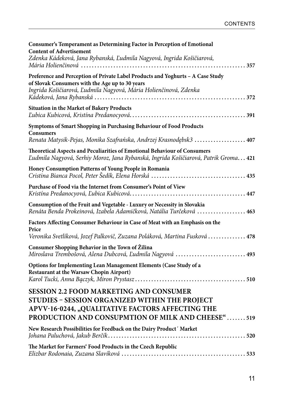| Consumer's Temperament as Determining Factor in Perception of Emotional<br><b>Content of Advertisement</b><br>Zdenka Kádeková, Jana Rybanská, Ľudmila Nagyová, Ingrida Košičiarová,                       |
|-----------------------------------------------------------------------------------------------------------------------------------------------------------------------------------------------------------|
| Preference and Perception of Private Label Products and Yoghurts - A Case Study<br>of Slovak Consumers with the Age up to 30 years<br>Ingrida Košičiarová, Ľudmila Nagyová, Mária Holienčinová, Zdenka    |
| Situation in the Market of Bakery Products                                                                                                                                                                |
| Symptoms of Smart Shopping in Purchasing Behaviour of Food Products<br><b>Consumers</b>                                                                                                                   |
| Renata Matysik-Pejas, Monika Szafrańska, Andrzej Krasnodębsk3  407                                                                                                                                        |
| Theoretical Aspects and Peculiarities of Emotional Behaviour of Consumers<br>Ľudmila Nagyová, Serhiy Moroz, Jana Rybanská, Ingrida Košičiarová, Patrik Groma 421                                          |
| Honey Consumption Patterns of Young People in Romania                                                                                                                                                     |
| Purchase of Food via the Internet from Consumer's Point of View                                                                                                                                           |
| Consumption of the Fruit and Vegetable - Luxury or Necessity in Slovakia<br>Renáta Benda Prokeinová, Izabela Adamičková, Natália Turčeková  463                                                           |
| Factors Affecting Consumer Behaviour in Case of Meat with an Emphasis on the<br>Price                                                                                                                     |
| Veronika Svetlíková, Jozef Palkovič, Zuzana Poláková, Martina Fusková  478                                                                                                                                |
| Consumer Shopping Behavior in the Town of Žilina<br>Miroslava Trembošová, Alena Dubcová, Ľudmila Nagyová  493                                                                                             |
| Options for Implementing Lean Management Elements (Case Study of a<br>Restaurant at the Warsaw Chopin Airport)                                                                                            |
| <b>SESSION 2.2 FOOD MARKETING AND CONSUMER</b><br>STUDIES - SESSION ORGANIZED WITHIN THE PROJECT<br>APVV-16-0244, "QUALITATIVE FACTORS AFFECTING THE<br>PRODUCTION AND CONSUPMTION OF MILK AND CHEESE"519 |
| New Research Possibilities for Feedback on the Dairy Product' Market                                                                                                                                      |
| The Market for Farmers' Food Products in the Czech Republic                                                                                                                                               |
|                                                                                                                                                                                                           |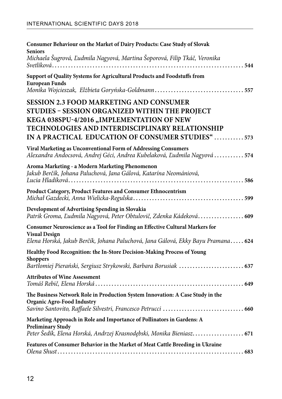| Consumer Behaviour on the Market of Dairy Products: Case Study of Slovak<br><b>Seniors</b>                                                                                                                                                           |
|------------------------------------------------------------------------------------------------------------------------------------------------------------------------------------------------------------------------------------------------------|
| Michaela Šugrová, Ľudmila Nagyová, Martina Šoporová, Filip Tkáč, Veronika                                                                                                                                                                            |
| Support of Quality Systems for Agricultural Products and Foodstuffs from<br><b>European Funds</b><br>Monika Wojcieszak, Elżbieta Goryńska-Goldmann557                                                                                                |
| <b>SESSION 2.3 FOOD MARKETING AND CONSUMER</b><br>STUDIES - SESSION ORGANIZED WITHIN THE PROJECT<br>KEGA 038SPU-4/2016 "IMPLEMENTATION OF NEW<br>TECHNOLOGIES AND INTERDISCIPLINARY RELATIONSHIP<br>IN A PRACTICAL EDUCATION OF CONSUMER STUDIES"573 |
| Viral Marketing as Unconventional Form of Addressing Consumers<br>Alexandra Andocsová, Andrej Géci, Andrea Kubelaková, Ľudmila Nagyová  574                                                                                                          |
| Aroma Marketing - a Modern Marketing Phenomenon<br>Jakub Berčík, Johana Paluchová, Jana Gálová, Katarína Neomániová,                                                                                                                                 |
| Product Category, Product Features and Consumer Ethnocentrism                                                                                                                                                                                        |
| Development of Advertising Spending in Slovakia<br>Patrik Groma, Ľudmila Nagyová, Peter Obtulovič, Zdenka Kádeková 609                                                                                                                               |
| Consumer Neuroscience as a Tool for Finding an Effective Cultural Markers for<br><b>Visual Design</b><br>Elena Horská, Jakub Berčík, Johana Paluchová, Jana Gálová, Ekky Bayu Pramana 624                                                            |
| Healthy Food Recognition: the In-Store Decision-Making Process of Young<br><b>Shoppers</b><br>Bartlomiej Pierański, Sergiusz Strykowski, Barbara Borusiak  637                                                                                       |
| <b>Attributes of Wine Assessment</b>                                                                                                                                                                                                                 |
| The Business Network Role in Production System Innovation: A Case Study in the<br><b>Organic Agro-Food Industry</b>                                                                                                                                  |
| Marketing Approach in Role and Importance of Pollinators in Gardens: A<br><b>Preliminary Study</b><br>Peter Šedík, Elena Horská, Andrzej Krasnodębski, Monika Bieniasz 671                                                                           |
| Features of Consumer Behavior in the Market of Meat Cattle Breeding in Ukraine                                                                                                                                                                       |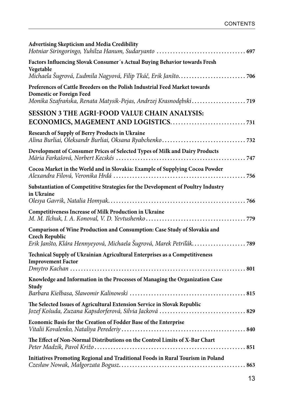| <b>Advertising Skepticism and Media Credibility</b>                                                                                                                                |
|------------------------------------------------------------------------------------------------------------------------------------------------------------------------------------|
| Factors Influencing Slovak Consumer's Actual Buying Behavior towards Fresh<br>Vegetable                                                                                            |
|                                                                                                                                                                                    |
| Preferences of Cattle Breeders on the Polish Industrial Feed Market towards<br><b>Domestic or Foreign Feed</b><br>Monika Szafrańska, Renata Matysik-Pejas, Andrzej Krasnodębski719 |
| SESSION 3 THE AGRI-FOOD VALUE CHAIN ANALYSIS:                                                                                                                                      |
| Research of Supply of Berry Products in Ukraine                                                                                                                                    |
| Development of Consumer Prices of Selected Types of Milk and Dairy Products                                                                                                        |
| Cocoa Market in the World and in Slovakia: Example of Supplying Cocoa Powder                                                                                                       |
| Substantiation of Competitive Strategies for the Development of Poultry Industry<br>in Ukraine                                                                                     |
| Competitiveness Increase of Milk Production in Ukraine                                                                                                                             |
| Comparison of Wine Production and Consumption: Case Study of Slovakia and<br><b>Czech Republic</b>                                                                                 |
|                                                                                                                                                                                    |
| Technical Supply of Ukrainian Agricultural Enterprises as a Competitiveness<br><b>Improvement Factor</b>                                                                           |
| Knowledge and Information in the Processes of Managing the Organization Case                                                                                                       |
| Study                                                                                                                                                                              |
| The Selected Issues of Agricultural Extension Service in Slovak Republic                                                                                                           |
| Economic Basis for the Creation of Fodder Base of the Enterprise                                                                                                                   |
| The Effect of Non-Normal Distributions on the Control Limits of X-Bar Chart                                                                                                        |
| Initiatives Promoting Regional and Traditional Foods in Rural Tourism in Poland                                                                                                    |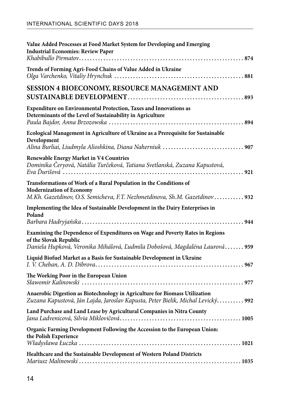| Value Added Processes at Food Market System for Developing and Emerging<br><b>Industrial Economies: Review Paper</b>                                                                   |
|----------------------------------------------------------------------------------------------------------------------------------------------------------------------------------------|
| Trends of Forming Agri-Food Chains of Value Added in Ukraine                                                                                                                           |
| SESSION 4 BIOECONOMY, RESOURCE MANAGEMENT AND                                                                                                                                          |
| Expenditure on Environmental Protection, Taxes and Innovations as<br>Determinants of the Level of Sustainability in Agriculture                                                        |
| Ecological Management in Agriculture of Ukraine as a Prerequisite for Sustainable<br>Development                                                                                       |
| <b>Renewable Energy Market in V4 Countries</b><br>Dominika Čeryová, Natália Turčeková, Tatiana Svetlanská, Zuzana Kapustová,<br>Eva Durišová …………………………………………………………………………… 921         |
| Transformations of Work of a Rural Population in the Conditions of<br><b>Modernization of Economy</b><br>M.Kh. Gazetdinov, O.S. Semicheva, F.T. Nezhmetdinova, Sh.M. Gazetdinov 932    |
| Implementing the Idea of Sustainable Development in the Dairy Enterprises in<br>Poland                                                                                                 |
| Examining the Dependence of Expenditures on Wage and Poverty Rates in Regions<br>of the Slovak Republic<br>Daniela Hupková, Veronika Mihálová, Ľudmila Dobošová, Magdaléna Laurová 959 |
| Liquid Biofuel Market as a Basis for Sustainable Development in Ukraine                                                                                                                |
| The Working Poor in the European Union                                                                                                                                                 |
| Anaerobic Digestion as Biotechnology in Agriculture for Biomass Utilization<br>Zuzana Kapustová, Ján Lajda, Jaroslav Kapusta, Peter Bielik, Michal Levický 992                         |
| Land Purchase and Land Lease by Agricultural Companies in Nitra County                                                                                                                 |
| Organic Farming Development Following the Accession to the European Union:<br>the Polish Experience                                                                                    |
| Healthcare and the Sustainable Development of Western Poland Districts                                                                                                                 |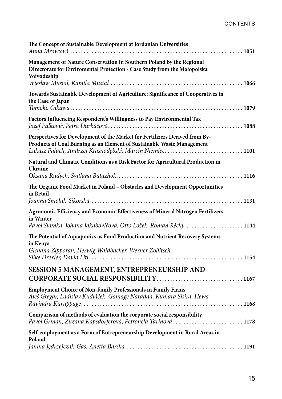| The Concept of Sustainable Development at Jordanian Universities                                                                                                                                                 |
|------------------------------------------------------------------------------------------------------------------------------------------------------------------------------------------------------------------|
| Management of Nature Conservation in Southern Poland by the Regional<br>Directorate for Enviromental Protection - Case Study from the Małopolska<br>Voivodeship                                                  |
| Towards Sustainable Development of Agriculture: Significance of Cooperatives in<br>the Case of Japan                                                                                                             |
| Factors Influencing Respondent's Willingness to Pay Environmental Tax                                                                                                                                            |
| Perspectives for Development of the Market for Fertilizers Derived from By-<br>Products of Coal Burning as an Element of Sustainable Waste Management<br>Łukasz Paluch, Andrzej Krasnodębski, Marcin Niemiec1101 |
| Natural and Climatic Conditions as a Risk Factor for Agricultural Production in<br>Ukraine                                                                                                                       |
| The Organic Food Market in Poland - Obstacles and Development Opportunities<br>in Retail                                                                                                                         |
| Agronomic Efficiency and Economic Effectiveness of Mineral Nitrogen Fertilizers<br>in Winter<br>Pavol Slamka, Johana Jakabovičová, Otto Ložek, Roman Récky  1144                                                 |
| The Potential of Aquaponics as Food Production and Nutrient Recovery Systems<br>in Kenya<br>Gichana Zipporah, Herwig Waidbacher, Werner Zollitsch,                                                               |
| SESSION 5 MANAGEMENT, ENTREPRENEURSHIP AND<br>CORPORATE SOCIAL RESPONSIBILITY1167                                                                                                                                |
| <b>Employment Choice of Non-family Professionals in Family Firms</b><br>Aleš Gregar, Ladislav Kudláček, Gamage Naradda, Kumara Sisira, Hewa                                                                      |
| Comparison of methods of evaluation the corporate social responsibility<br>Pavol Grman, Zuzana Kapsdorferová, Petronela Tarinová 1178                                                                            |
| Self-employment as a Form of Entrepreneurship Development in Rural Areas in<br>Poland                                                                                                                            |
|                                                                                                                                                                                                                  |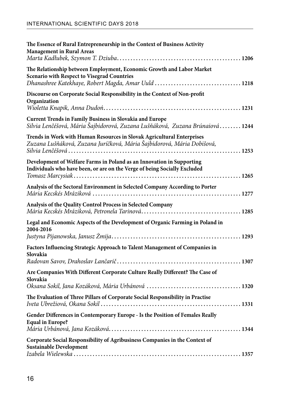| The Essence of Rural Entrepreneurship in the Context of Business Activity<br><b>Management in Rural Areas</b>                                                                      |
|------------------------------------------------------------------------------------------------------------------------------------------------------------------------------------|
| The Relationship between Employment, Economic Growth and Labor Market<br><b>Scenario with Respect to Visegrad Countries</b><br>Dhanashree Katekhaye, Robert Magda, Amar Uuld  1218 |
| Discourse on Corporate Social Responsibility in the Context of Non-profit<br>Organization                                                                                          |
| Current Trends in Family Business in Slovakia and Europe<br>Silvia Lenčéšová, Mária Šajbidorová, Zuzana Lušňáková, Zuzana Brúnaiová 1244                                           |
| Trends in Work with Human Resources in Slovak Agricultural Enterprises<br>Zuzana Lušňáková, Zuzana Juríčková, Mária Šajbidorová, Mária Dobišová,                                   |
| Development of Welfare Farms in Poland as an Innovation in Supporting<br>Individuals who have been, or are on the Verge of being Socially Excluded                                 |
| Analysis of the Sectoral Environment in Selected Company According to Porter                                                                                                       |
| Analysis of the Quality Control Process in Selected Company                                                                                                                        |
| Legal and Economic Aspects of the Development of Organic Farming in Poland in<br>2004-2016                                                                                         |
| Factors Influencing Strategic Approach to Talent Management of Companies in                                                                                                        |
| Slovakia                                                                                                                                                                           |
| Are Companies With Different Corporate Culture Really Different? The Case of<br>Slovakia                                                                                           |
| The Evaluation of Three Pillars of Corporate Social Responsibility in Practise                                                                                                     |
| Gender Differences in Contemporary Europe - Is the Position of Females Really<br><b>Equal in Europe?</b>                                                                           |
| Corporate Social Responsibility of Agribusiness Companies in the Context of<br><b>Sustainable Development</b>                                                                      |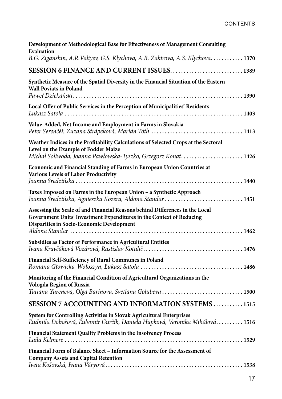| Development of Methodological Base for Effectiveness of Management Consulting<br>Evaluation<br>B.G. Ziganshin, A.R. Valiyev, G.S. Klychova, A.R. Zakirova, A.S. Klychova 1370                     |
|---------------------------------------------------------------------------------------------------------------------------------------------------------------------------------------------------|
| SESSION 6 FINANCE AND CURRENT ISSUES1389                                                                                                                                                          |
| Synthetic Measure of the Spatial Diversity in the Financial Situation of the Eastern<br><b>Wall Poviats in Poland</b>                                                                             |
| Local Offer of Public Services in the Perception of Municipalities' Residents                                                                                                                     |
| Value-Added, Net Income and Employment in Farms in Slovakia                                                                                                                                       |
| Weather Indices in the Profitability Calculations of Selected Crops at the Sectoral<br>Level on the Example of Fodder Maize<br>Michał Soliwoda, Joanna Pawłowska-Tyszko, Grzegorz Konat1426       |
| Economic and Financial Standing of Farms in European Union Countries at<br>Various Levels of Labor Productivity                                                                                   |
| Taxes Imposed on Farms in the European Union - a Synthetic Approach<br>Joanna Średzińska, Agnieszka Kozera, Aldona Standar  1451                                                                  |
| Assessing the Scale of and Financial Reasons behind Differences in the Local<br>Government Units' Investment Expenditures in the Context of Reducing<br>Disparities in Socio-Economic Development |
| Subsidies as Factor of Performance in Agricultural Entities                                                                                                                                       |
| Financial Self-Sufficiency of Rural Communes in Poland                                                                                                                                            |
| Monitoring of the Financial Condition of Agricultural Organizations in the<br>Vologda Region of Russia<br>Tatiana Yureneva, Olga Barinova, Svetlana Golubeva 1500                                 |
| SESSION 7 ACCOUNTING AND INFORMATION SYSTEMS1515                                                                                                                                                  |
| System for Controlling Activities in Slovak Agricultural Enterprises<br>Ľudmila Dobošová, Ľubomír Gurčík, Daniela Hupková, Veronika Mihálová 1516                                                 |
| Financial Statement Quality Problems in the Insolvency Process                                                                                                                                    |
| Financial Form of Balance Sheet - Information Source for the Assessment of<br><b>Company Assets and Capital Retention</b>                                                                         |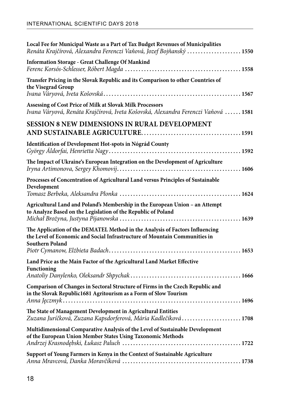| Local Fee for Municipal Waste as a Part of Tax Budget Revenues of Municipalities<br>Renáta Krajčírová, Alexandra Ferenczi Vaňová, Jozef Bojňanský  1550                       |
|-------------------------------------------------------------------------------------------------------------------------------------------------------------------------------|
| <b>Information Storage - Great Challenge Of Mankind</b>                                                                                                                       |
| Transfer Pricing in the Slovak Republic and its Comparison to other Countries of<br>the Visegrad Group                                                                        |
| Assessing of Cost Price of Milk at Slovak Milk Processors<br>Ivana Váryová, Renáta Krajčírová, Iveta Košovská, Alexandra Ferenczi Vaňová  1581                                |
| <b>SESSION 8 NEW DIMENSIONS IN RURAL DEVELOPMENT</b>                                                                                                                          |
| Identification of Development Hot-spots in Nógrád County                                                                                                                      |
| The Impact of Ukraine's European Integration on the Development of Agriculture                                                                                                |
| Processes of Concentration of Agricultural Land versus Principles of Sustainable<br>Development                                                                               |
| Agricultural Land and Poland's Membership in the European Union - an Attempt<br>to Analyze Based on the Legislation of the Republic of Poland                                 |
| The Application of the DEMATEL Method in the Analysis of Factors Influencing<br>the Level of Economic and Social Infrastructure of Mountain Communities in<br>Southern Poland |
| Land Price as the Main Factor of the Agricultural Land Market Effective                                                                                                       |
| <b>Functioning</b>                                                                                                                                                            |
| Comparison of Changes in Sectoral Structure of Firms in the Czech Republic and<br>in the Slovak Republic1681 Agritourism as a Form of Slow Tourism                            |
| The State of Management Development in Agricultural Entities<br>Zuzana Juríčková, Zuzana Kapsdorferová, Mária Kadlečíková 1708                                                |
| Multidimensional Comparative Analysis of the Level of Sustainable Development<br>of the European Union Member States Using Taxonomic Methods                                  |
| Support of Young Farmers in Kenya in the Context of Sustainable Agriculture                                                                                                   |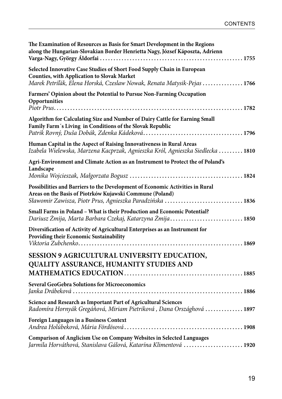| The Examination of Resources as Basis for Smart Development in the Regions<br>along the Hungarian-Slovakian Border Henrietta Nagy, József Káposzta, Adrienn                                            |
|--------------------------------------------------------------------------------------------------------------------------------------------------------------------------------------------------------|
| Selected Innovative Case Studies of Short Food Supply Chain in European<br>Counties, with Application to Slovak Market<br>Marek Petriľák, Elena Horská, Czeslaw Nowak, Renata Matysik-Pejas  1766      |
| Farmers' Opinion about the Potential to Pursue Non-Farming Occupation<br>Opportunities                                                                                                                 |
| Algorithm for Calculating Size and Number of Dairy Cattle for Earning Small<br>Family Farm's Living in Conditions of the Slovak Republic                                                               |
| Human Capital in the Aspect of Raising Innovativeness in Rural Areas<br>Izabela Wielewska, Marzena Kacprzak, Agnieszka Król, Agnieszka Siedlecka  1810                                                 |
| Agri-Environment and Climate Action as an Instrument to Protect the of Poland's<br>Landscape                                                                                                           |
| Possibilities and Barriers to the Development of Economic Activities in Rural<br>Areas on the Basis of Piotrków Kujawski Commune (Poland)<br>Sławomir Zawisza, Piotr Prus, Agnieszka Paradzińska  1836 |
| Small Farms in Poland - What is their Production and Economic Potential?<br>Dariusz Żmija, Marta Barbara Czekaj, Katarzyna Żmija 1850                                                                  |
| Diversification of Activity of Agricultural Enterprises as an Instrument for<br>Providing their Economic Sustainability                                                                                |
| SESSION 9 AGRICULTURAL UNIVERSITY EDUCATION,<br>QUALITY ASSURANCE, HUMANITY STUDIES AND                                                                                                                |
| Several GeoGebra Solutions for Microeconomics                                                                                                                                                          |
| Science and Research as Important Part of Agricultural Sciences<br>Radomíra Hornyák Gregáňová, Miriam Pietriková, Dana Országhová  1897                                                                |
| Foreign Languages in a Business Context                                                                                                                                                                |
| Comparison of Anglicism Use on Company Websites in Selected Languages<br>Jarmila Horváthová, Stanislava Gálová, Katarína Klimentová 1920                                                               |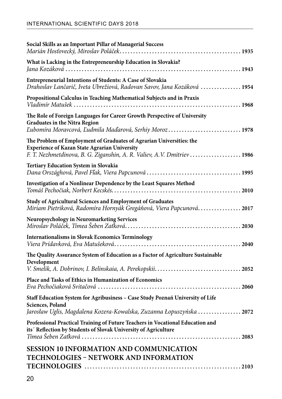| Social Skills as an Important Pillar of Managerial Success                                                                                                                                              |
|---------------------------------------------------------------------------------------------------------------------------------------------------------------------------------------------------------|
| What is Lacking in the Entrepreneurship Education in Slovakia?                                                                                                                                          |
| Entrepreneurial Intentions of Students: A Case of Slovakia<br>Drahoslav Lančarič, Iveta Ubrežiová, Radovan Savov, Jana Kozáková  1954                                                                   |
| Propositional Calculus in Teaching Mathematical Subjects and in Praxis                                                                                                                                  |
| The Role of Foreign Languages for Career Growth Perspective of University<br><b>Graduates in the Nitra Region</b><br>Lubomíra Moravcová, Ludmila Maďarová, Serhiy Moroz1978                             |
| The Problem of Employment of Graduates of Agrarian Universities: the<br><b>Experience of Kazan State Agrarian University</b><br>F. T. Nezhmetdinova, B. G. Ziganshin, A. R. Valiev, A.V. Dmitriev  1986 |
| Tertiary Education System in Slovakia                                                                                                                                                                   |
| Investigation of a Nonlinear Dependence by the Least Squares Method                                                                                                                                     |
| Study of Agricultural Sciences and Employment of Graduates<br>Miriam Pietriková, Radomíra Hornyák Gregáňová, Viera Papcunová2017                                                                        |
| Neuropsychology in Neuromarketing Services                                                                                                                                                              |
| <b>Internationalisms in Slovak Economics Terminology</b>                                                                                                                                                |
| The Quality Assurance System of Education as a Factor of Agriculture Sustainable                                                                                                                        |
| Development                                                                                                                                                                                             |
| Place and Tasks of Ethics in Humanization of Economics                                                                                                                                                  |
| Staff Education System for Agribusiness - Case Study Poznań University of Life<br>Sciences, Poland<br>Jarosław Uglis, Magdalena Kozera-Kowalska, Zuzanna Łopuszyńska  2072                              |
| Professional Practical Training of Future Teachers in Vocational Education and<br>its' Reflection by Students of Slovak University of Agriculture                                                       |
| <b>SESSION 10 INFORMATION AND COMMUNICATION</b><br>TECHNOLOGIES - NETWORK AND INFORMATION                                                                                                               |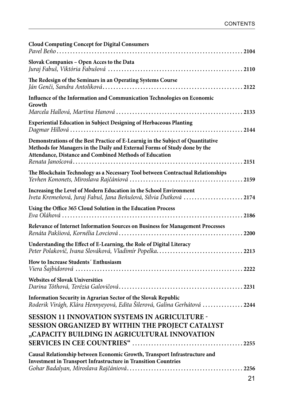| <b>Cloud Computing Concept for Digital Consumers</b>                                                                                                                                                                   |
|------------------------------------------------------------------------------------------------------------------------------------------------------------------------------------------------------------------------|
| Slovak Companies - Open Acces to the Data                                                                                                                                                                              |
| The Redesign of the Seminars in an Operating Systems Course                                                                                                                                                            |
| Influence of the Information and Communication Technologies on Economic<br>Growth                                                                                                                                      |
| Experiential Education in Subject Designing of Herbaceous Planting                                                                                                                                                     |
| Demonstrations of the Best Practice of E-Learnig in the Subject of Quantitative<br>Methods for Managers in the Daily and External Forms of Study done by the<br>Attendance, Distance and Combined Methods of Education |
| The Blockchain Technology as a Necessary Tool between Contractual Relationships                                                                                                                                        |
| Increasing the Level of Modern Education in the School Environment<br>Iveta Kremeňová, Juraj Fabuš, Jana Beňušová, Silvia Ďutková 2174                                                                                 |
| Using the Office 365 Cloud Solution in the Education Process                                                                                                                                                           |
| Relevance of Internet Information Sources on Business for Management Processes                                                                                                                                         |
| Understanding the Effect of E-Learning, the Role of Digital Literacy<br>Peter Polakovič, Ivana Slováková, Vladimír Popelka2213                                                                                         |
| How to Increase Students' Enthusiasm                                                                                                                                                                                   |
| <b>Websites of Slovak Universities</b>                                                                                                                                                                                 |
| Information Security in Agrarian Sector of the Slovak Republic<br>Roderik Virágh, Klára Hennyeyová, Edita Šilerová, Galina Gerhátová  2244                                                                             |
| <b>SESSION 11 INNOVATION SYSTEMS IN AGRICULTURE -</b><br>SESSION ORGANIZED BY WITHIN THE PROJECT CATALYST<br>"CAPACITY BUILDING IN AGRICULTURAL INNOVATION                                                             |
| Causal Relationship between Economic Growth, Transport Infrastructure and<br><b>Investment in Transport Infrastructure in Transition Countries</b>                                                                     |
|                                                                                                                                                                                                                        |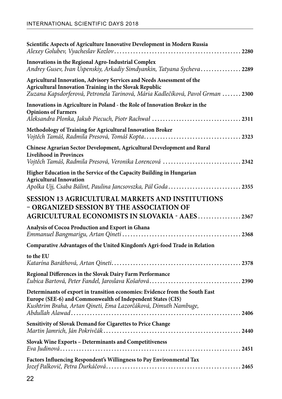| Scientific Aspects of Agriculture Innovative Development in Modern Russia                                                                                                                                           |
|---------------------------------------------------------------------------------------------------------------------------------------------------------------------------------------------------------------------|
| Innovations in the Regional Agro-Industrial Complex<br>Andrey Gusev, Ivan Uspenskiy, Arkadiy Simdyankin, Tatyana Sycheva2289                                                                                        |
| Agricultural Innovation, Advisory Services and Needs Assessment of the<br>Agricultural Innovation Training in the Slovak Republic<br>Zuzana Kapsdorferová, Petronela Tarinová, Mária Kadlečíková, Pavol Grman  2300 |
| Innovations in Agriculture in Poland - the Role of Innovation Broker in the<br><b>Opinions of Farmers</b>                                                                                                           |
| Methodology of Training for Agricultural Innovation Broker                                                                                                                                                          |
| Chinese Agrarian Sector Development, Agricultural Development and Rural<br><b>Livelihood in Provinces</b><br>Vojtěch Tamáš, Radmila Presová, Veronika Lorencová 2342                                                |
| Higher Education in the Service of the Capacity Building in Hungarian<br><b>Agricultural Innovation</b><br>Apolka Ujj, Csaba Bálint, Paulina Jancsovszka, Pál Goda2355                                              |
| <b>SESSION 13 AGRICULTURAL MARKETS AND INSTITUTIONS</b><br>- ORGANIZED SESSION BY THE ASSOCIATION OF<br>AGRICULTURAL ECONOMISTS IN SLOVAKIA - AAES2367                                                              |
| Analysis of Cocoa Production and Export in Ghana                                                                                                                                                                    |
| Comparative Advantages of the United Kingdom's Agri-food Trade in Relation                                                                                                                                          |
| to the EU                                                                                                                                                                                                           |
| Regional Differences in the Slovak Dairy Farm Performance                                                                                                                                                           |
| Determinants of export in transition economies: Evidence from the South East<br>Europe (SEE-6) and Commonwealth of Independent States (CIS)<br>Kushtrim Braha, Artan Qineti, Ema Lazorčáková, Dimuth Nambuge,       |
| Sensitivity of Slovak Demand for Cigarettes to Price Change                                                                                                                                                         |
| Slovak Wine Exports - Determinants and Competitiveness                                                                                                                                                              |
| Factors Influencing Respondent's Willingness to Pay Environmental Tax                                                                                                                                               |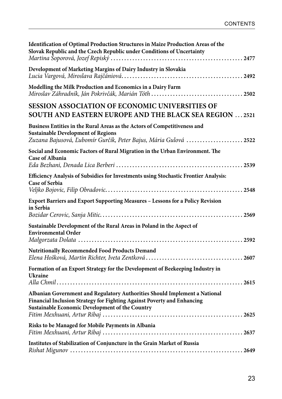| Identification of Optimal Production Structures in Maize Production Areas of the<br>Slovak Republic and the Czech Republic under Conditions of Uncertainty                                               |
|----------------------------------------------------------------------------------------------------------------------------------------------------------------------------------------------------------|
| Development of Marketing Margins of Dairy Industry in Slovakia                                                                                                                                           |
| Modelling the Milk Production and Economics in a Dairy Farm                                                                                                                                              |
| SESSION ASSOCIATION OF ECONOMIC UNIVERSITIES OF<br><b>SOUTH AND EASTERN EUROPE AND THE BLACK SEA REGION 2521</b>                                                                                         |
| Business Entities in the Rural Areas as the Actors of Competitiveness and<br><b>Sustainable Development of Regions</b><br>Zuzana Bajusová, Ľubomír Gurčík, Peter Bajus, Mária Gulová  2522               |
| Social and Economic Factors of Rural Migration in the Urban Environment. The<br><b>Case of Albania</b>                                                                                                   |
| Efficiency Analysis of Subsidies for Investments using Stochastic Frontier Analysis:<br><b>Case of Serbia</b>                                                                                            |
| Export Barriers and Export Supporting Measures - Lessons for a Policy Revision<br>in Serbia                                                                                                              |
| Sustainable Development of the Rural Areas in Poland in the Aspect of<br><b>Environmental Order</b>                                                                                                      |
| <b>Nutritionally Recommended Food Products Demand</b>                                                                                                                                                    |
| Formation of an Export Strategy for the Development of Beekeeping Industry in<br>Ukraine                                                                                                                 |
| Albanian Government and Regulatory Authorities Should Implement a National<br>Financial Inclusion Strategy for Fighting Against Poverty and Enhancing<br>Sustainable Economic Development of the Country |
| Risks to be Managed for Mobile Payments in Albania                                                                                                                                                       |
| Institutes of Stabilization of Conjuncture in the Grain Market of Russia                                                                                                                                 |